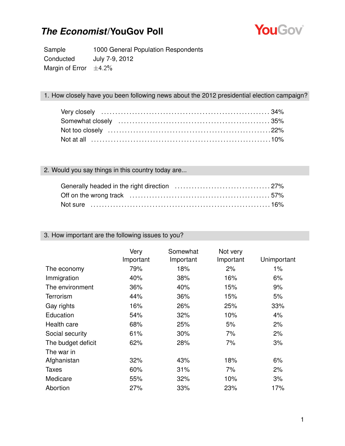

Sample 1000 General Population Respondents Conducted July 7-9, 2012 Margin of Error  $\pm 4.2\%$ 

#### 1. How closely have you been following news about the 2012 presidential election campaign?

### 2. Would you say things in this country today are...

| Not sure ……………………………………………………………………16% |  |
|----------------------------------------|--|

#### 3. How important are the following issues to you?

|                    | Very<br>Important | Somewhat<br>Important | Not very<br>Important | Unimportant |
|--------------------|-------------------|-----------------------|-----------------------|-------------|
| The economy        | 79%               | 18%                   | 2%                    | 1%          |
| Immigration        | 40%               | 38%                   | 16%                   | 6%          |
| The environment    | 36%               | 40%                   | 15%                   | 9%          |
| <b>Terrorism</b>   | 44%               | 36%                   | 15%                   | 5%          |
| Gay rights         | 16%               | 26%                   | 25%                   | 33%         |
| Education          | 54%               | 32%                   | 10%                   | 4%          |
| Health care        | 68%               | 25%                   | 5%                    | 2%          |
| Social security    | 61%               | 30%                   | 7%                    | 2%          |
| The budget deficit | 62%               | 28%                   | 7%                    | 3%          |
| The war in         |                   |                       |                       |             |
| Afghanistan        | 32%               | 43%                   | 18%                   | 6%          |
| <b>Taxes</b>       | 60%               | 31%                   | 7%                    | 2%          |
| Medicare           | 55%               | 32%                   | 10%                   | 3%          |
| Abortion           | 27%               | 33%                   | 23%                   | 17%         |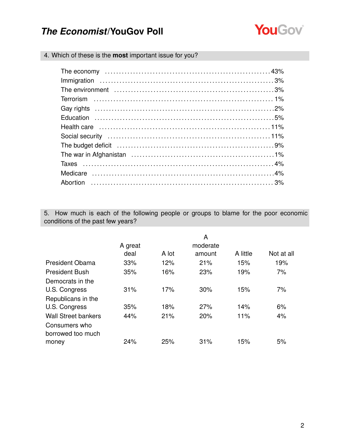

4. Which of these is the **most** important issue for you?

| The budget deficit (and according to the budget deficit (and according to the budget deficit (and according to the budget of $9\%$ |  |
|------------------------------------------------------------------------------------------------------------------------------------|--|
|                                                                                                                                    |  |
|                                                                                                                                    |  |
|                                                                                                                                    |  |
|                                                                                                                                    |  |

5. How much is each of the following people or groups to blame for the poor economic conditions of the past few years?

|                                                                  | A great |       | A<br>moderate |          |            |
|------------------------------------------------------------------|---------|-------|---------------|----------|------------|
|                                                                  | deal    | A lot | amount        | A little | Not at all |
| <b>President Obama</b>                                           | 33%     | 12%   | 21%           | 15%      | 19%        |
| <b>President Bush</b>                                            | 35%     | 16%   | 23%           | 19%      | 7%         |
| Democrats in the<br>U.S. Congress<br>Republicans in the          | 31%     | 17%   | 30%           | 15%      | 7%         |
| U.S. Congress                                                    | 35%     | 18%   | 27%           | 14%      | 6%         |
| <b>Wall Street bankers</b><br>Consumers who<br>borrowed too much | 44%     | 21%   | 20%           | 11%      | 4%         |
| money                                                            | 24%     | 25%   | 31%           | 15%      | 5%         |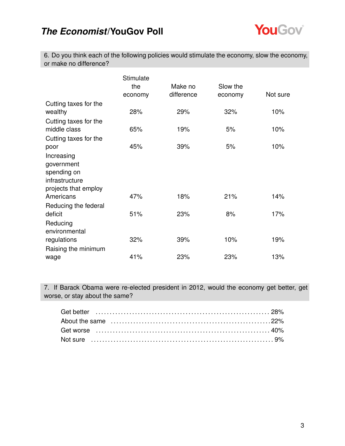

6. Do you think each of the following policies would stimulate the economy, slow the economy, or make no difference?

|                       | Stimulate |            |          |          |
|-----------------------|-----------|------------|----------|----------|
|                       | the       | Make no    | Slow the |          |
|                       | economy   | difference | economy  | Not sure |
| Cutting taxes for the |           |            |          |          |
| wealthy               | 28%       | 29%        | 32%      | 10%      |
| Cutting taxes for the |           |            |          |          |
| middle class          | 65%       | 19%        | 5%       | 10%      |
| Cutting taxes for the |           |            |          |          |
| poor                  | 45%       | 39%        | 5%       | 10%      |
| Increasing            |           |            |          |          |
| government            |           |            |          |          |
| spending on           |           |            |          |          |
| infrastructure        |           |            |          |          |
| projects that employ  |           |            |          |          |
| Americans             | 47%       | 18%        | 21%      | 14%      |
| Reducing the federal  |           |            |          |          |
| deficit               | 51%       | 23%        | 8%       | 17%      |
| Reducing              |           |            |          |          |
| environmental         |           |            |          |          |
| regulations           | 32%       | 39%        | 10%      | 19%      |
| Raising the minimum   |           |            |          |          |
| wage                  | 41%       | 23%        | 23%      | 13%      |

7. If Barack Obama were re-elected president in 2012, would the economy get better, get worse, or stay about the same?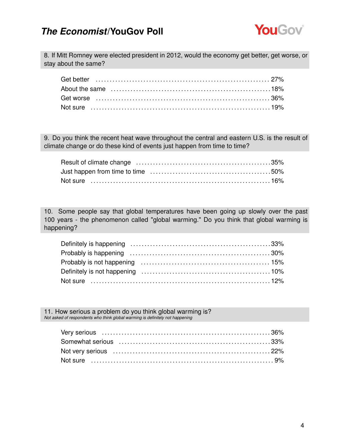

8. If Mitt Romney were elected president in 2012, would the economy get better, get worse, or stay about the same?

9. Do you think the recent heat wave throughout the central and eastern U.S. is the result of climate change or do these kind of events just happen from time to time?

10. Some people say that global temperatures have been going up slowly over the past 100 years - the phenomenon called "global warming." Do you think that global warming is happening?

11. How serious a problem do you think global warming is? *Not asked of respondents who think global warming is definitely not happening*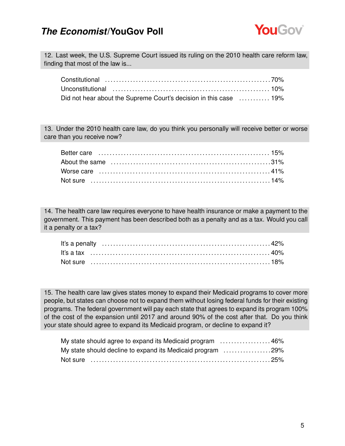

12. Last week, the U.S. Supreme Court issued its ruling on the 2010 health care reform law, finding that most of the law is...

| Did not hear about the Supreme Court's decision in this case  19% |  |
|-------------------------------------------------------------------|--|

13. Under the 2010 health care law, do you think you personally will receive better or worse care than you receive now?

14. The health care law requires everyone to have health insurance or make a payment to the government. This payment has been described both as a penalty and as a tax. Would you call it a penalty or a tax?

15. The health care law gives states money to expand their Medicaid programs to cover more people, but states can choose not to expand them without losing federal funds for their existing programs. The federal government will pay each state that agrees to expand its program 100% of the cost of the expansion until 2017 and around 90% of the cost after that. Do you think your state should agree to expand its Medicaid program, or decline to expand it?

| My state should agree to expand its Medicaid program 46%   |  |
|------------------------------------------------------------|--|
| My state should decline to expand its Medicaid program 29% |  |
|                                                            |  |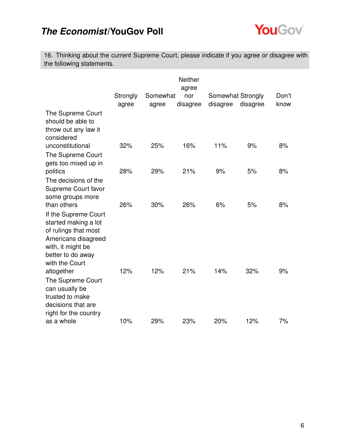

16. Thinking about the current Supreme Court, please indicate if you agree or disagree with the following statements.

|                                                                                                                                                         |          |          | <b>Neither</b> |          |                   |       |
|---------------------------------------------------------------------------------------------------------------------------------------------------------|----------|----------|----------------|----------|-------------------|-------|
|                                                                                                                                                         | Strongly | Somewhat | agree<br>nor   |          | Somewhat Strongly | Don't |
|                                                                                                                                                         | agree    | agree    | disagree       | disagree | disagree          | know  |
| The Supreme Court<br>should be able to<br>throw out any law it<br>considered                                                                            |          |          |                |          |                   |       |
| unconstitutional                                                                                                                                        | 32%      | 25%      | 16%            | 11%      | 9%                | 8%    |
| The Supreme Court<br>gets too mixed up in                                                                                                               |          |          |                |          |                   |       |
| politics                                                                                                                                                | 28%      | 29%      | 21%            | 9%       | 5%                | 8%    |
| The decisions of the<br>Supreme Court favor<br>some groups more                                                                                         |          |          |                |          |                   |       |
| than others                                                                                                                                             | 26%      | 30%      | 26%            | 6%       | 5%                | 8%    |
| If the Supreme Court<br>started making a lot<br>of rulings that most<br>Americans disagreed<br>with, it might be<br>better to do away<br>with the Court |          |          |                |          |                   |       |
| altogether                                                                                                                                              | 12%      | 12%      | 21%            | 14%      | 32%               | 9%    |
| The Supreme Court<br>can usually be<br>trusted to make<br>decisions that are<br>right for the country                                                   |          |          |                |          |                   |       |
| as a whole                                                                                                                                              | 10%      | 29%      | 23%            | 20%      | 12%               | 7%    |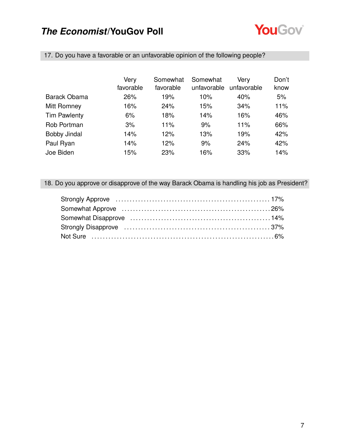

|                     | Very      | Somewhat  | Somewhat    | Very        | Don't |
|---------------------|-----------|-----------|-------------|-------------|-------|
|                     | favorable | favorable | unfavorable | unfavorable | know  |
| <b>Barack Obama</b> | 26%       | 19%       | 10%         | 40%         | 5%    |
| Mitt Romney         | 16%       | 24%       | 15%         | 34%         | 11%   |
| <b>Tim Pawlenty</b> | 6%        | 18%       | 14%         | 16%         | 46%   |
| Rob Portman         | 3%        | 11%       | 9%          | 11%         | 66%   |
| <b>Bobby Jindal</b> | 14%       | 12%       | 13%         | 19%         | 42%   |
| Paul Ryan           | 14%       | 12%       | 9%          | 24%         | 42%   |
| Joe Biden           | 15%       | 23%       | 16%         | 33%         | 14%   |

17. Do you have a favorable or an unfavorable opinion of the following people?

### 18. Do you approve or disapprove of the way Barack Obama is handling his job as President?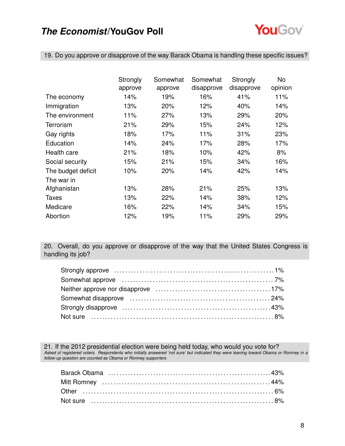

19. Do you approve or disapprove of the way Barack Obama is handling these specific issues?

|                    | Strongly | Somewhat | Somewhat   | Strongly   | No      |
|--------------------|----------|----------|------------|------------|---------|
|                    | approve  | approve  | disapprove | disapprove | opinion |
| The economy        | 14%      | 19%      | 16%        | 41%        | 11%     |
| Immigration        | 13%      | 20%      | 12%        | 40%        | 14%     |
| The environment    | 11%      | 27%      | 13%        | 29%        | 20%     |
| Terrorism          | 21%      | 29%      | 15%        | 24%        | 12%     |
| Gay rights         | 18%      | 17%      | 11%        | 31%        | 23%     |
| Education          | 14%      | 24%      | 17%        | 28%        | 17%     |
| Health care        | 21%      | 18%      | 10%        | 42%        | 8%      |
| Social security    | 15%      | 21%      | 15%        | 34%        | 16%     |
| The budget deficit | 10%      | 20%      | 14%        | 42%        | 14%     |
| The war in         |          |          |            |            |         |
| Afghanistan        | 13%      | 28%      | 21%        | 25%        | 13%     |
| Taxes              | 13%      | 22%      | 14%        | 38%        | 12%     |
| Medicare           | 16%      | 22%      | 14%        | 34%        | 15%     |
| Abortion           | 12%      | 19%      | 11%        | 29%        | 29%     |

20. Overall, do you approve or disapprove of the way that the United States Congress is handling its job?

21. If the 2012 presidential election were being held today, who would you vote for? *Asked of registered voters. Respondents who initially answered 'not sure' but indicated they were leaning toward Obama or Romney in a follow-up question are counted as Obama or Romney supporters*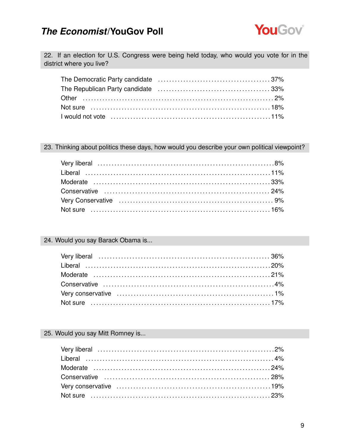

22. If an election for U.S. Congress were being held today, who would you vote for in the district where you live?

23. Thinking about politics these days, how would you describe your own political viewpoint?

#### 24. Would you say Barack Obama is...

#### 25. Would you say Mitt Romney is...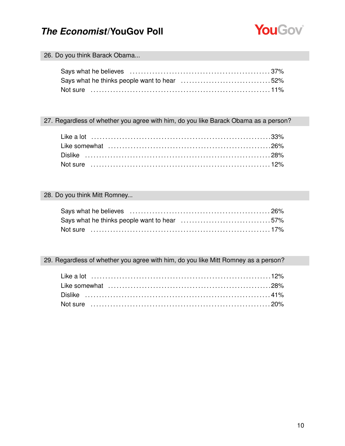

#### 26. Do you think Barack Obama...

#### 27. Regardless of whether you agree with him, do you like Barack Obama as a person?

#### 28. Do you think Mitt Romney...

#### 29. Regardless of whether you agree with him, do you like Mitt Romney as a person?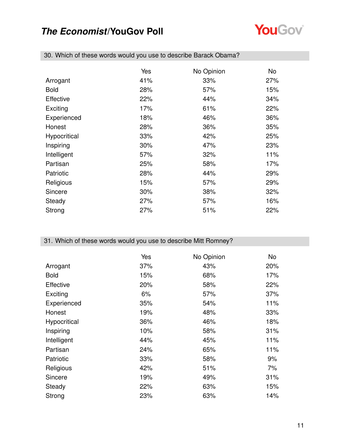

|                  | Yes | No Opinion | No. |
|------------------|-----|------------|-----|
| Arrogant         | 41% | 33%        | 27% |
| <b>Bold</b>      | 28% | 57%        | 15% |
| <b>Effective</b> | 22% | 44%        | 34% |
| Exciting         | 17% | 61%        | 22% |
| Experienced      | 18% | 46%        | 36% |
| Honest           | 28% | 36%        | 35% |
| Hypocritical     | 33% | 42%        | 25% |
| Inspiring        | 30% | 47%        | 23% |
| Intelligent      | 57% | 32%        | 11% |
| Partisan         | 25% | 58%        | 17% |
| Patriotic        | 28% | 44%        | 29% |
| Religious        | 15% | 57%        | 29% |
| Sincere          | 30% | 38%        | 32% |
| Steady           | 27% | 57%        | 16% |
| Strong           | 27% | 51%        | 22% |

30. Which of these words would you use to describe Barack Obama?

### 31. Which of these words would you use to describe Mitt Romney?

|                  | Yes | No Opinion | No  |
|------------------|-----|------------|-----|
| Arrogant         | 37% | 43%        | 20% |
| <b>Bold</b>      | 15% | 68%        | 17% |
| <b>Effective</b> | 20% | 58%        | 22% |
| Exciting         | 6%  | 57%        | 37% |
| Experienced      | 35% | 54%        | 11% |
| Honest           | 19% | 48%        | 33% |
| Hypocritical     | 36% | 46%        | 18% |
| Inspiring        | 10% | 58%        | 31% |
| Intelligent      | 44% | 45%        | 11% |
| Partisan         | 24% | 65%        | 11% |
| Patriotic        | 33% | 58%        | 9%  |
| Religious        | 42% | 51%        | 7%  |
| Sincere          | 19% | 49%        | 31% |
| Steady           | 22% | 63%        | 15% |
| Strong           | 23% | 63%        | 14% |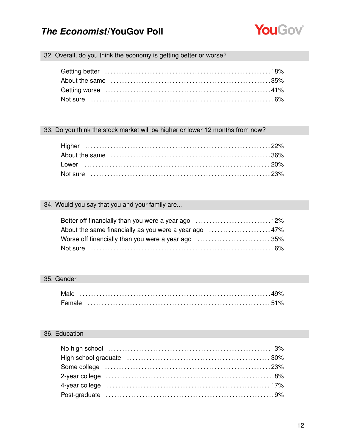

### 32. Overall, do you think the economy is getting better or worse?

#### 33. Do you think the stock market will be higher or lower 12 months from now?

### 34. Would you say that you and your family are...

| Better off financially than you were a year ago 12%   |  |
|-------------------------------------------------------|--|
| About the same financially as you were a year ago 47% |  |
| Worse off financially than you were a year ago 35%    |  |
|                                                       |  |

#### 35. Gender

| Male   |  |  |  |  |  |  |  |  |  |  |  |  |  |  |  |  |  |
|--------|--|--|--|--|--|--|--|--|--|--|--|--|--|--|--|--|--|
| Female |  |  |  |  |  |  |  |  |  |  |  |  |  |  |  |  |  |

### 36. Education

| 4-year college (and all and all and all and all and all and all and all and all and all and all and all and all and all and all and all and all and all and all and all and all and all and all and all and all and all and al |  |
|--------------------------------------------------------------------------------------------------------------------------------------------------------------------------------------------------------------------------------|--|
|                                                                                                                                                                                                                                |  |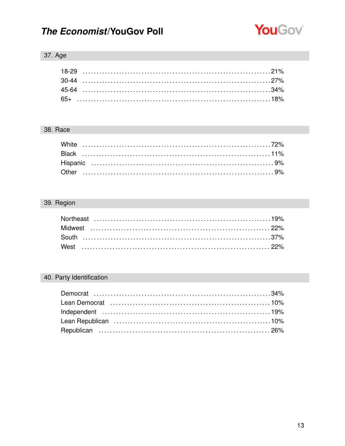

### 37. Age

### 38. Race

### 39. Region

### 40. Party Identification

| Lean Democrat (and the continuum of the canonical continuum of the canonical continuum of the canonical continu |  |
|-----------------------------------------------------------------------------------------------------------------|--|
|                                                                                                                 |  |
|                                                                                                                 |  |
|                                                                                                                 |  |